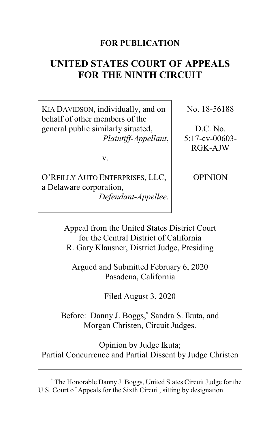# **FOR PUBLICATION**

# **UNITED STATES COURT OF APPEALS FOR THE NINTH CIRCUIT**

KIA DAVIDSON, individually, and on behalf of other members of the general public similarly situated, *Plaintiff-Appellant*,

v.

O'REILLY AUTO ENTERPRISES, LLC, a Delaware corporation, *Defendant-Appellee.* No. 18-56188

D.C. No. 5:17-cv-00603- RGK-AJW

**OPINION** 

Appeal from the United States District Court for the Central District of California R. Gary Klausner, District Judge, Presiding

Argued and Submitted February 6, 2020 Pasadena, California

Filed August 3, 2020

Before: Danny J. Boggs,**\*** Sandra S. Ikuta, and Morgan Christen, Circuit Judges.

Opinion by Judge Ikuta; Partial Concurrence and Partial Dissent by Judge Christen

**<sup>\*</sup>** The Honorable Danny J. Boggs, United States Circuit Judge for the U.S. Court of Appeals for the Sixth Circuit, sitting by designation.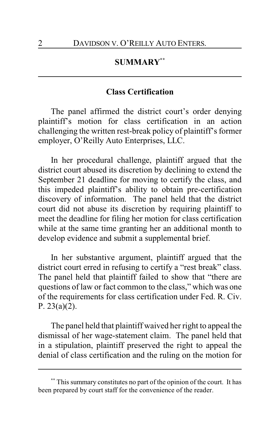# **SUMMARY\*\***

## **Class Certification**

The panel affirmed the district court's order denying plaintiff's motion for class certification in an action challenging the written rest-break policy of plaintiff's former employer, O'Reilly Auto Enterprises, LLC.

In her procedural challenge, plaintiff argued that the district court abused its discretion by declining to extend the September 21 deadline for moving to certify the class, and this impeded plaintiff's ability to obtain pre-certification discovery of information. The panel held that the district court did not abuse its discretion by requiring plaintiff to meet the deadline for filing her motion for class certification while at the same time granting her an additional month to develop evidence and submit a supplemental brief.

In her substantive argument, plaintiff argued that the district court erred in refusing to certify a "rest break" class. The panel held that plaintiff failed to show that "there are questions of law or fact common to the class," which was one of the requirements for class certification under Fed. R. Civ. P. 23(a)(2).

The panel held that plaintiff waived her right to appeal the dismissal of her wage-statement claim. The panel held that in a stipulation, plaintiff preserved the right to appeal the denial of class certification and the ruling on the motion for

This summary constitutes no part of the opinion of the court. It has been prepared by court staff for the convenience of the reader.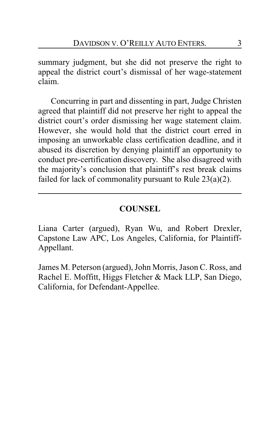summary judgment, but she did not preserve the right to appeal the district court's dismissal of her wage-statement claim.

Concurring in part and dissenting in part, Judge Christen agreed that plaintiff did not preserve her right to appeal the district court's order dismissing her wage statement claim. However, she would hold that the district court erred in imposing an unworkable class certification deadline, and it abused its discretion by denying plaintiff an opportunity to conduct pre-certification discovery. She also disagreed with the majority's conclusion that plaintiff's rest break claims failed for lack of commonality pursuant to Rule 23(a)(2).

# **COUNSEL**

Liana Carter (argued), Ryan Wu, and Robert Drexler, Capstone Law APC, Los Angeles, California, for Plaintiff-Appellant.

James M. Peterson (argued), John Morris, Jason C. Ross, and Rachel E. Moffitt, Higgs Fletcher & Mack LLP, San Diego, California, for Defendant-Appellee.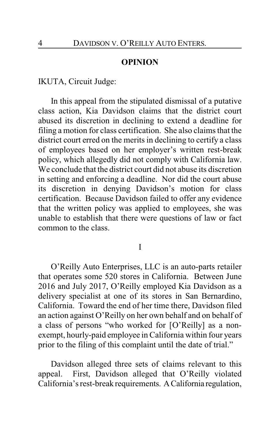## **OPINION**

IKUTA, Circuit Judge:

In this appeal from the stipulated dismissal of a putative class action, Kia Davidson claims that the district court abused its discretion in declining to extend a deadline for filing a motion for class certification. She also claims that the district court erred on the merits in declining to certify a class of employees based on her employer's written rest-break policy, which allegedly did not comply with California law. We conclude that the district court did not abuse its discretion in setting and enforcing a deadline. Nor did the court abuse its discretion in denying Davidson's motion for class certification. Because Davidson failed to offer any evidence that the written policy was applied to employees, she was unable to establish that there were questions of law or fact common to the class.

I

O'Reilly Auto Enterprises, LLC is an auto-parts retailer that operates some 520 stores in California. Between June 2016 and July 2017, O'Reilly employed Kia Davidson as a delivery specialist at one of its stores in San Bernardino, California. Toward the end of her time there, Davidson filed an action against O'Reilly on her own behalf and on behalf of a class of persons "who worked for [O'Reilly] as a nonexempt, hourly-paid employee in California within four years prior to the filing of this complaint until the date of trial."

Davidson alleged three sets of claims relevant to this appeal. First, Davidson alleged that O'Reilly violated California's rest-break requirements. ACalifornia regulation,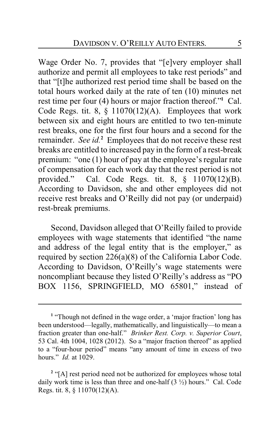Wage Order No. 7, provides that "[e]very employer shall authorize and permit all employees to take rest periods" and that "[t]he authorized rest period time shall be based on the total hours worked daily at the rate of ten (10) minutes net rest time per four (4) hours or major fraction thereof."**<sup>1</sup>** Cal. Code Regs. tit. 8,  $\S$  11070(12)(A). Employees that work between six and eight hours are entitled to two ten-minute rest breaks, one for the first four hours and a second for the remainder. *See id.***<sup>2</sup>** Employees that do not receive these rest breaks are entitled to increased pay in the form of a rest-break premium: "one (1) hour of pay at the employee's regular rate of compensation for each work day that the rest period is not provided." Cal. Code Regs. tit. 8, § 11070(12)(B). According to Davidson, she and other employees did not receive rest breaks and O'Reilly did not pay (or underpaid) rest-break premiums.

Second, Davidson alleged that O'Reilly failed to provide employees with wage statements that identified "the name and address of the legal entity that is the employer," as required by section 226(a)(8) of the California Labor Code. According to Davidson, O'Reilly's wage statements were noncompliant because they listed O'Reilly's address as "PO BOX 1156, SPRINGFIELD, MO 65801," instead of

<sup>&</sup>lt;sup>1</sup> "Though not defined in the wage order, a 'major fraction' long has been understood—legally, mathematically, and linguistically—to mean a fraction greater than one-half." *Brinker Rest. Corp. v. Superior Court*, 53 Cal. 4th 1004, 1028 (2012). So a "major fraction thereof" as applied to a "four-hour period" means "any amount of time in excess of two hours." *Id.* at 1029.

<sup>&</sup>lt;sup>2</sup> "[A] rest period need not be authorized for employees whose total daily work time is less than three and one-half  $(3 \frac{1}{2})$  hours." Cal. Code Regs. tit. 8, § 11070(12)(A).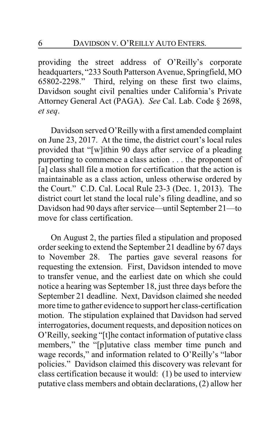providing the street address of O'Reilly's corporate headquarters, "233 South Patterson Avenue, Springfield, MO 65802-2298." Third, relying on these first two claims, Davidson sought civil penalties under California's Private Attorney General Act (PAGA). *See* Cal. Lab. Code § 2698, *et seq*.

Davidson served O'Reilly with a first amended complaint on June 23, 2017. At the time, the district court's local rules provided that "[w]ithin 90 days after service of a pleading purporting to commence a class action . . . the proponent of [a] class shall file a motion for certification that the action is maintainable as a class action, unless otherwise ordered by the Court." C.D. Cal. Local Rule 23-3 (Dec. 1, 2013). The district court let stand the local rule's filing deadline, and so Davidson had 90 days after service—until September 21—to move for class certification.

On August 2, the parties filed a stipulation and proposed order seeking to extend the September 21 deadline by 67 days to November 28. The parties gave several reasons for requesting the extension. First, Davidson intended to move to transfer venue, and the earliest date on which she could notice a hearing was September 18, just three days before the September 21 deadline. Next, Davidson claimed she needed more time to gather evidence to support her class-certification motion. The stipulation explained that Davidson had served interrogatories, document requests, and deposition notices on O'Reilly, seeking "[t]he contact information of putative class members," the "[p]utative class member time punch and wage records," and information related to O'Reilly's "labor policies." Davidson claimed this discovery was relevant for class certification because it would: (1) be used to interview putative class members and obtain declarations, (2) allow her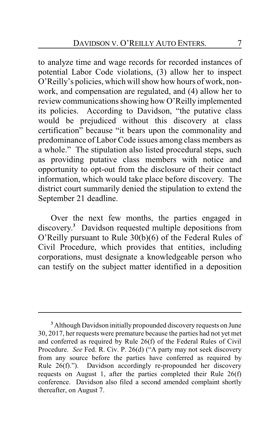to analyze time and wage records for recorded instances of potential Labor Code violations, (3) allow her to inspect O'Reilly's policies, which will show how hours of work, nonwork, and compensation are regulated, and (4) allow her to review communications showing how O'Reilly implemented its policies. According to Davidson, "the putative class would be prejudiced without this discovery at class certification" because "it bears upon the commonality and predominance of Labor Code issues among class members as a whole." The stipulation also listed procedural steps, such as providing putative class members with notice and opportunity to opt-out from the disclosure of their contact information, which would take place before discovery. The district court summarily denied the stipulation to extend the September 21 deadline.

Over the next few months, the parties engaged in discovery. **<sup>3</sup>** Davidson requested multiple depositions from O'Reilly pursuant to Rule 30(b)(6) of the Federal Rules of Civil Procedure, which provides that entities, including corporations, must designate a knowledgeable person who can testify on the subject matter identified in a deposition

**<sup>3</sup>** Although Davidson initially propounded discovery requests on June 30, 2017, her requests were premature because the parties had not yet met and conferred as required by Rule 26(f) of the Federal Rules of Civil Procedure. *See* Fed. R. Civ. P. 26(d) ("A party may not seek discovery from any source before the parties have conferred as required by Rule 26(f)."). Davidson accordingly re-propounded her discovery requests on August 1, after the parties completed their Rule 26(f) conference. Davidson also filed a second amended complaint shortly thereafter, on August 7.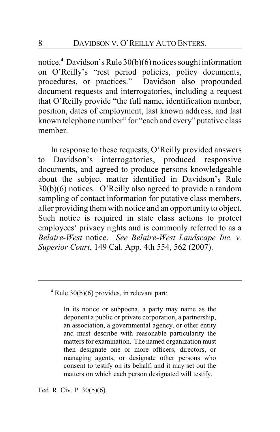notice.**<sup>4</sup>** Davidson's Rule 30(b)(6) notices sought information on O'Reilly's "rest period policies, policy documents, procedures, or practices." Davidson also propounded document requests and interrogatories, including a request that O'Reilly provide "the full name, identification number, position, dates of employment, last known address, and last known telephone number" for "each and every" putative class member.

In response to these requests, O'Reilly provided answers to Davidson's interrogatories, produced responsive documents, and agreed to produce persons knowledgeable about the subject matter identified in Davidson's Rule 30(b)(6) notices. O'Reilly also agreed to provide a random sampling of contact information for putative class members, after providing them with notice and an opportunity to object. Such notice is required in state class actions to protect employees' privacy rights and is commonly referred to as a *Belaire-West* notice. *See Belaire-West Landscape Inc. v. Superior Court*, 149 Cal. App. 4th 554, 562 (2007).

#### **4** Rule 30(b)(6) provides, in relevant part:

In its notice or subpoena, a party may name as the deponent a public or private corporation, a partnership, an association, a governmental agency, or other entity and must describe with reasonable particularity the matters for examination. The named organization must then designate one or more officers, directors, or managing agents, or designate other persons who consent to testify on its behalf; and it may set out the matters on which each person designated will testify.

Fed. R. Civ. P. 30(b)(6).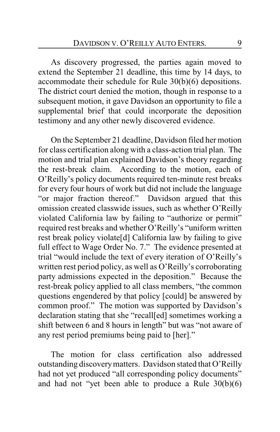As discovery progressed, the parties again moved to extend the September 21 deadline, this time by 14 days, to accommodate their schedule for Rule 30(b)(6) depositions. The district court denied the motion, though in response to a subsequent motion, it gave Davidson an opportunity to file a supplemental brief that could incorporate the deposition testimony and any other newly discovered evidence.

On the September 21 deadline, Davidson filed her motion for class certification along with a class-action trial plan. The motion and trial plan explained Davidson's theory regarding the rest-break claim. According to the motion, each of O'Reilly's policy documents required ten-minute rest breaks for every four hours of work but did not include the language "or major fraction thereof." Davidson argued that this omission created classwide issues, such as whether O'Reilly violated California law by failing to "authorize or permit" required rest breaks and whether O'Reilly's "uniform written rest break policy violate[d] California law by failing to give full effect to Wage Order No. 7." The evidence presented at trial "would include the text of every iteration of O'Reilly's written rest period policy, as well as O'Reilly's corroborating party admissions expected in the deposition." Because the rest-break policy applied to all class members, "the common questions engendered by that policy [could] be answered by common proof." The motion was supported by Davidson's declaration stating that she "recall[ed] sometimes working a shift between 6 and 8 hours in length" but was "not aware of any rest period premiums being paid to [her]."

The motion for class certification also addressed outstanding discoverymatters. Davidson stated that O'Reilly had not yet produced "all corresponding policy documents" and had not "yet been able to produce a Rule 30(b)(6)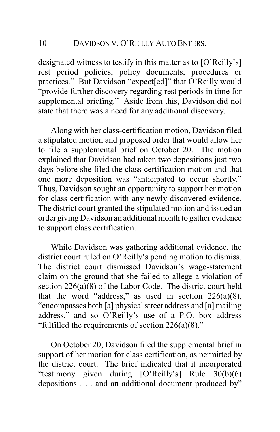designated witness to testify in this matter as to [O'Reilly's] rest period policies, policy documents, procedures or practices." But Davidson "expect[ed]" that O'Reilly would "provide further discovery regarding rest periods in time for supplemental briefing." Aside from this, Davidson did not state that there was a need for any additional discovery.

Along with her class-certification motion, Davidson filed a stipulated motion and proposed order that would allow her to file a supplemental brief on October 20. The motion explained that Davidson had taken two depositions just two days before she filed the class-certification motion and that one more deposition was "anticipated to occur shortly." Thus, Davidson sought an opportunity to support her motion for class certification with any newly discovered evidence. The district court granted the stipulated motion and issued an order givingDavidson an additional month to gather evidence to support class certification.

While Davidson was gathering additional evidence, the district court ruled on O'Reilly's pending motion to dismiss. The district court dismissed Davidson's wage-statement claim on the ground that she failed to allege a violation of section 226(a)(8) of the Labor Code. The district court held that the word "address," as used in section  $226(a)(8)$ , "encompasses both [a] physical street address and [a] mailing address," and so O'Reilly's use of a P.O. box address "fulfilled the requirements of section 226(a)(8)."

On October 20, Davidson filed the supplemental brief in support of her motion for class certification, as permitted by the district court. The brief indicated that it incorporated "testimony given during [O'Reilly's] Rule 30(b)(6) depositions . . . and an additional document produced by"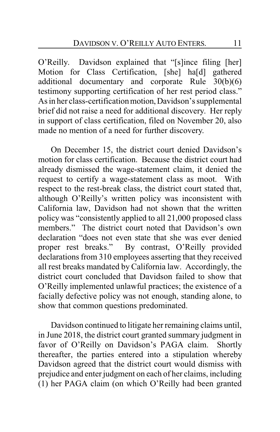O'Reilly. Davidson explained that "[s]ince filing [her] Motion for Class Certification, [she] ha[d] gathered additional documentary and corporate Rule 30(b)(6) testimony supporting certification of her rest period class." As in her class-certification motion,Davidson's supplemental brief did not raise a need for additional discovery. Her reply in support of class certification, filed on November 20, also made no mention of a need for further discovery.

On December 15, the district court denied Davidson's motion for class certification. Because the district court had already dismissed the wage-statement claim, it denied the request to certify a wage-statement class as moot. With respect to the rest-break class, the district court stated that, although O'Reilly's written policy was inconsistent with California law, Davidson had not shown that the written policy was "consistently applied to all 21,000 proposed class members." The district court noted that Davidson's own declaration "does not even state that she was ever denied proper rest breaks." By contrast, O'Reilly provided declarations from 310 employees asserting that they received all rest breaks mandated by California law. Accordingly, the district court concluded that Davidson failed to show that O'Reilly implemented unlawful practices; the existence of a facially defective policy was not enough, standing alone, to show that common questions predominated.

Davidson continued to litigate her remaining claims until, in June 2018, the district court granted summary judgment in favor of O'Reilly on Davidson's PAGA claim. Shortly thereafter, the parties entered into a stipulation whereby Davidson agreed that the district court would dismiss with prejudice and enter judgment on each of her claims, including (1) her PAGA claim (on which O'Reilly had been granted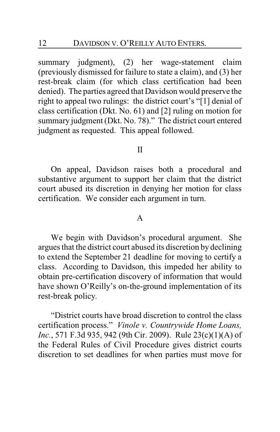summary judgment), (2) her wage-statement claim (previously dismissed for failure to state a claim), and (3) her rest-break claim (for which class certification had been denied). The parties agreed that Davidson would preserve the right to appeal two rulings: the district court's "[1] denial of class certification (Dkt. No. 61) and [2] ruling on motion for summary judgment (Dkt. No. 78)." The district court entered judgment as requested. This appeal followed.

### II

On appeal, Davidson raises both a procedural and substantive argument to support her claim that the district court abused its discretion in denying her motion for class certification. We consider each argument in turn.

#### A

We begin with Davidson's procedural argument. She argues that the district court abused its discretion bydeclining to extend the September 21 deadline for moving to certify a class. According to Davidson, this impeded her ability to obtain pre-certification discovery of information that would have shown O'Reilly's on-the-ground implementation of its rest-break policy.

"District courts have broad discretion to control the class certification process." *Vinole v. Countrywide Home Loans, Inc.*, 571 F.3d 935, 942 (9th Cir. 2009). Rule 23(c)(1)(A) of the Federal Rules of Civil Procedure gives district courts discretion to set deadlines for when parties must move for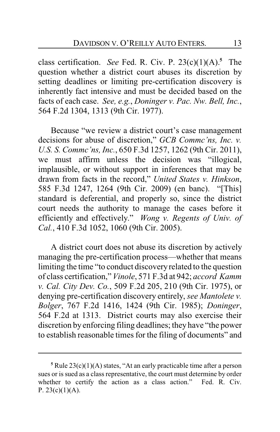class certification. *See* Fed. R. Civ. P. 23(c)(1)(A).**<sup>5</sup>** The question whether a district court abuses its discretion by setting deadlines or limiting pre-certification discovery is inherently fact intensive and must be decided based on the facts of each case. *See, e.g.*, *Doninger v. Pac. Nw. Bell, Inc.*, 564 F.2d 1304, 1313 (9th Cir. 1977).

Because "we review a district court's case management decisions for abuse of discretion," *GCB Commc'ns, Inc. v. U.S. S. Commc'ns, Inc.*, 650 F.3d 1257, 1262 (9th Cir. 2011), we must affirm unless the decision was "illogical, implausible, or without support in inferences that may be drawn from facts in the record," *United States v. Hinkson*, 585 F.3d 1247, 1264 (9th Cir. 2009) (en banc). "[This] standard is deferential, and properly so, since the district court needs the authority to manage the cases before it efficiently and effectively." *Wong v. Regents of Univ. of Cal.*, 410 F.3d 1052, 1060 (9th Cir. 2005).

A district court does not abuse its discretion by actively managing the pre-certification process—whether that means limiting the time "to conduct discoveryrelated to the question of class certification," *Vinole*, 571 F.3d at 942; *accord Kamm v. Cal. City Dev. Co.*, 509 F.2d 205, 210 (9th Cir. 1975), or denying pre-certification discovery entirely, *see Mantolete v. Bolger*, 767 F.2d 1416, 1424 (9th Cir. 1985); *Doninger*, 564 F.2d at 1313. District courts may also exercise their discretion by enforcing filing deadlines; they have "the power to establish reasonable times for the filing of documents" and

**<sup>5</sup>** Rule 23(c)(1)(A) states, "At an early practicable time after a person sues or is sued as a class representative, the court must determine by order whether to certify the action as a class action." Fed. R. Civ. P.  $23(c)(1)(A)$ .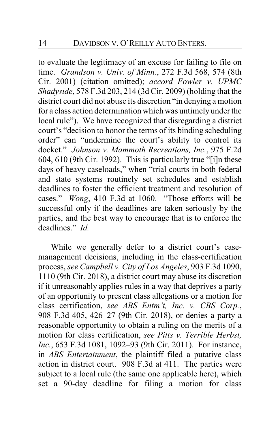to evaluate the legitimacy of an excuse for failing to file on time. *Grandson v. Univ. of Minn.*, 272 F.3d 568, 574 (8th Cir. 2001) (citation omitted); *accord Fowler v. UPMC Shadyside*, 578 F.3d 203, 214 (3d Cir. 2009) (holding that the district court did not abuse its discretion "in denying a motion for a class action determination which was untimely under the local rule"). We have recognized that disregarding a district court's "decision to honor the terms of its binding scheduling order" can "undermine the court's ability to control its docket." *Johnson v. Mammoth Recreations, Inc.*, 975 F.2d 604, 610 (9th Cir. 1992). This is particularly true "[i]n these days of heavy caseloads," when "trial courts in both federal and state systems routinely set schedules and establish deadlines to foster the efficient treatment and resolution of cases." *Wong*, 410 F.3d at 1060. "Those efforts will be successful only if the deadlines are taken seriously by the parties, and the best way to encourage that is to enforce the deadlines." *Id.*

While we generally defer to a district court's casemanagement decisions, including in the class-certification process, *see Campbell v. City of Los Angeles*, 903 F.3d 1090, 1110 (9th Cir. 2018), a district court may abuse its discretion if it unreasonably applies rules in a way that deprives a party of an opportunity to present class allegations or a motion for class certification, *see ABS Entm't, Inc. v. CBS Corp.*, 908 F.3d 405, 426–27 (9th Cir. 2018), or denies a party a reasonable opportunity to obtain a ruling on the merits of a motion for class certification, *see Pitts v. Terrible Herbst, Inc.*, 653 F.3d 1081, 1092–93 (9th Cir. 2011). For instance, in *ABS Entertainment*, the plaintiff filed a putative class action in district court. 908 F.3d at 411. The parties were subject to a local rule (the same one applicable here), which set a 90-day deadline for filing a motion for class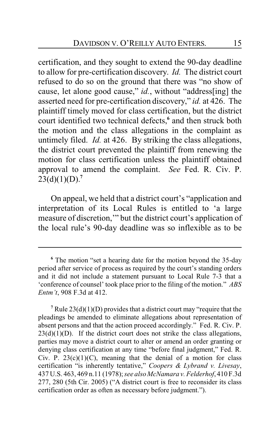certification, and they sought to extend the 90-day deadline to allow for pre-certification discovery. *Id.* The district court refused to do so on the ground that there was "no show of cause, let alone good cause," *id.*, without "address[ing] the asserted need for pre-certification discovery," *id.* at 426. The plaintiff timely moved for class certification, but the district court identified two technical defects,**<sup>6</sup>** and then struck both the motion and the class allegations in the complaint as untimely filed. *Id.* at 426. By striking the class allegations, the district court prevented the plaintiff from renewing the motion for class certification unless the plaintiff obtained approval to amend the complaint. *See* Fed. R. Civ. P.  $23(d)(1)(D).<sup>7</sup>$ 

On appeal, we held that a district court's "application and interpretation of its Local Rules is entitled to 'a large measure of discretion,'" but the district court's application of the local rule's 90-day deadline was so inflexible as to be

**<sup>6</sup>** The motion "set a hearing date for the motion beyond the 35-day period after service of process as required by the court's standing orders and it did not include a statement pursuant to Local Rule 7-3 that a 'conference of counsel' took place prior to the filing of the motion." *ABS Entm't*, 908 F.3d at 412.

<sup>&</sup>lt;sup>7</sup> Rule  $23(d)(1)(D)$  provides that a district court may "require that the pleadings be amended to eliminate allegations about representation of absent persons and that the action proceed accordingly." Fed. R. Civ. P.  $23(d)(1)(D)$ . If the district court does not strike the class allegations, parties may move a district court to alter or amend an order granting or denying class certification at any time "before final judgment," Fed. R. Civ. P.  $23(c)(1)(C)$ , meaning that the denial of a motion for class certification "is inherently tentative," *Coopers & Lybrand v. Livesay*, 437 U.S. 463, 469 n.11 (1978); *see also McNamara v. Felderhof*, 410 F.3d 277, 280 (5th Cir. 2005) ("A district court is free to reconsider its class certification order as often as necessary before judgment.").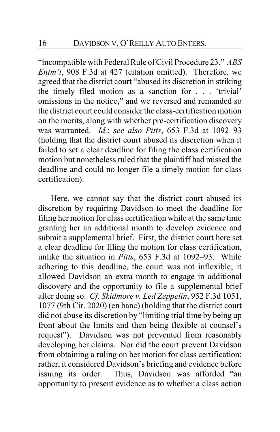"incompatible with Federal Rule of Civil Procedure 23." *ABS Entm't*, 908 F.3d at 427 (citation omitted). Therefore, we agreed that the district court "abused its discretion in striking the timely filed motion as a sanction for . . . 'trivial' omissions in the notice," and we reversed and remanded so the district court could consider the class-certification motion on the merits, along with whether pre-certification discovery was warranted. *Id.*; *see also Pitts*, 653 F.3d at 1092–93 (holding that the district court abused its discretion when it failed to set a clear deadline for filing the class certification motion but nonetheless ruled that the plaintiff had missed the deadline and could no longer file a timely motion for class certification).

Here, we cannot say that the district court abused its discretion by requiring Davidson to meet the deadline for filing her motion for class certification while at the same time granting her an additional month to develop evidence and submit a supplemental brief. First, the district court here set a clear deadline for filing the motion for class certification, unlike the situation in *Pitts*, 653 F.3d at 1092–93. While adhering to this deadline, the court was not inflexible; it allowed Davidson an extra month to engage in additional discovery and the opportunity to file a supplemental brief after doing so. *Cf. Skidmore v. Led Zeppelin*, 952 F.3d 1051, 1077 (9th Cir. 2020) (en banc) (holding that the district court did not abuse its discretion by "limiting trial time by being up front about the limits and then being flexible at counsel's request"). Davidson was not prevented from reasonably developing her claims. Nor did the court prevent Davidson from obtaining a ruling on her motion for class certification; rather, it considered Davidson's briefing and evidence before issuing its order. Thus, Davidson was afforded "an opportunity to present evidence as to whether a class action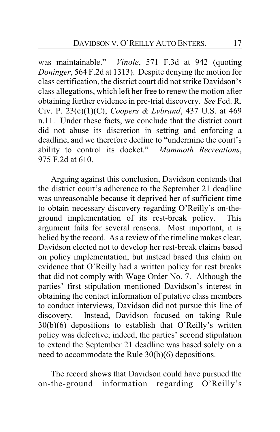was maintainable." *Vinole*, 571 F.3d at 942 (quoting *Doninger*, 564 F.2d at 1313). Despite denying the motion for class certification, the district court did not strike Davidson's class allegations, which left her free to renew the motion after obtaining further evidence in pre-trial discovery. *See* Fed. R. Civ. P. 23(c)(1)(C); *Coopers & Lybrand*, 437 U.S. at 469 n.11. Under these facts, we conclude that the district court did not abuse its discretion in setting and enforcing a deadline, and we therefore decline to "undermine the court's ability to control its docket." *Mammoth Recreations*, 975 F.2d at 610.

Arguing against this conclusion, Davidson contends that the district court's adherence to the September 21 deadline was unreasonable because it deprived her of sufficient time to obtain necessary discovery regarding O'Reilly's on-theground implementation of its rest-break policy. This argument fails for several reasons. Most important, it is belied by the record. As a review of the timeline makes clear, Davidson elected not to develop her rest-break claims based on policy implementation, but instead based this claim on evidence that O'Reilly had a written policy for rest breaks that did not comply with Wage Order No. 7. Although the parties' first stipulation mentioned Davidson's interest in obtaining the contact information of putative class members to conduct interviews, Davidson did not pursue this line of discovery. Instead, Davidson focused on taking Rule 30(b)(6) depositions to establish that O'Reilly's written policy was defective; indeed, the parties' second stipulation to extend the September 21 deadline was based solely on a need to accommodate the Rule 30(b)(6) depositions.

The record shows that Davidson could have pursued the on-the-ground information regarding O'Reilly's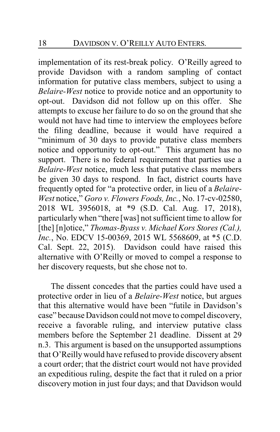implementation of its rest-break policy. O'Reilly agreed to provide Davidson with a random sampling of contact information for putative class members, subject to using a *Belaire-West* notice to provide notice and an opportunity to opt-out. Davidson did not follow up on this offer. She attempts to excuse her failure to do so on the ground that she would not have had time to interview the employees before the filing deadline, because it would have required a "minimum of 30 days to provide putative class members notice and opportunity to opt-out." This argument has no support. There is no federal requirement that parties use a *Belaire-West* notice, much less that putative class members be given 30 days to respond. In fact, district courts have frequently opted for "a protective order, in lieu of a *Belaire-West* notice," *Goro v. Flowers Foods, Inc.*, No. 17-cv-02580, 2018 WL 3956018, at \*9 (S.D. Cal. Aug. 17, 2018), particularlywhen "there [was] not sufficient time to allow for [the] [n]otice," *Thomas-Byass v. Michael Kors Stores (Cal.)*, *Inc.*, No. EDCV 15-00369, 2015 WL 5568609, at \*5 (C.D. Cal. Sept. 22, 2015). Davidson could have raised this alternative with O'Reilly or moved to compel a response to her discovery requests, but she chose not to.

The dissent concedes that the parties could have used a protective order in lieu of a *Belaire-West* notice, but argues that this alternative would have been "futile in Davidson's case" because Davidson could not move to compel discovery, receive a favorable ruling, and interview putative class members before the September 21 deadline. Dissent at 29 n.3. This argument is based on the unsupported assumptions that O'Reilly would have refused to provide discovery absent a court order; that the district court would not have provided an expeditious ruling, despite the fact that it ruled on a prior discovery motion in just four days; and that Davidson would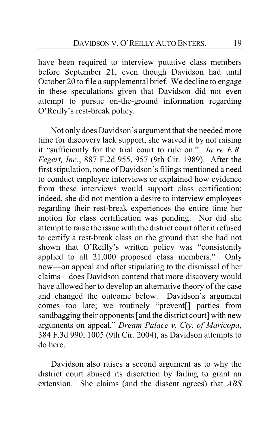have been required to interview putative class members before September 21, even though Davidson had until October 20 to file a supplemental brief. We decline to engage in these speculations given that Davidson did not even attempt to pursue on-the-ground information regarding O'Reilly's rest-break policy.

Not only does Davidson's argument that she needed more time for discovery lack support, she waived it by not raising it "sufficiently for the trial court to rule on." *In re E.R. Fegert, Inc.*, 887 F.2d 955, 957 (9th Cir. 1989). After the first stipulation, none of Davidson's filings mentioned a need to conduct employee interviews or explained how evidence from these interviews would support class certification; indeed, she did not mention a desire to interview employees regarding their rest-break experiences the entire time her motion for class certification was pending. Nor did she attempt to raise the issue with the district court after it refused to certify a rest-break class on the ground that she had not shown that O'Reilly's written policy was "consistently applied to all 21,000 proposed class members." Only now—on appeal and after stipulating to the dismissal of her claims—does Davidson contend that more discovery would have allowed her to develop an alternative theory of the case and changed the outcome below. Davidson's argument comes too late; we routinely "prevent[] parties from sandbagging their opponents [and the district court] with new arguments on appeal," *Dream Palace v. Cty. of Maricopa*, 384 F.3d 990, 1005 (9th Cir. 2004), as Davidson attempts to do here.

Davidson also raises a second argument as to why the district court abused its discretion by failing to grant an extension. She claims (and the dissent agrees) that *ABS*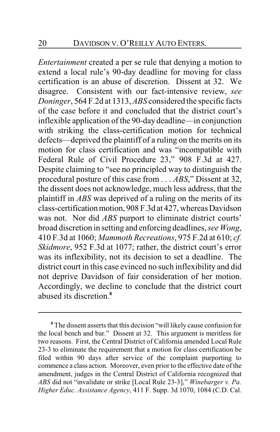*Entertainment* created a per se rule that denying a motion to extend a local rule's 90-day deadline for moving for class certification is an abuse of discretion. Dissent at 32. We disagree. Consistent with our fact-intensive review, *see Doninger*, 564 F.2d at 1313, *ABS* considered the specific facts of the case before it and concluded that the district court's inflexible application of the 90-day deadline—in conjunction with striking the class-certification motion for technical defects—deprived the plaintiff of a ruling on the merits on its motion for class certification and was "incompatible with Federal Rule of Civil Procedure 23," 908 F.3d at 427. Despite claiming to "see no principled way to distinguish the procedural posture of this case from . . . *ABS*," Dissent at 32, the dissent does not acknowledge, much less address, that the plaintiff in *ABS* was deprived of a ruling on the merits of its class-certificationmotion, 908 F.3d at 427, whereas Davidson was not. Nor did *ABS* purport to eliminate district courts' broad discretion in setting and enforcing deadlines, *see Wong*, 410 F.3d at 1060; *Mammoth Recreations*, 975 F.2d at 610; *cf. Skidmore*, 952 F.3d at 1077; rather, the district court's error was its inflexibility, not its decision to set a deadline. The district court in this case evinced no such inflexibility and did not deprive Davidson of fair consideration of her motion. Accordingly, we decline to conclude that the district court abused its discretion.**<sup>8</sup>**

**<sup>8</sup>** The dissent asserts that this decision "will likely cause confusion for the local bench and bar." Dissent at 32. This argument is meritless for two reasons. First, the Central District of California amended Local Rule 23-3 to eliminate the requirement that a motion for class certification be filed within 90 days after service of the complaint purporting to commence a class action. Moreover, even prior to the effective date of the amendment, judges in the Central District of California recognized that *ABS* did not "invalidate or strike [Local Rule 23-3]," *Winebarger v. Pa. Higher Educ. Assistance Agency*, 411 F. Supp. 3d 1070, 1084 (C.D. Cal.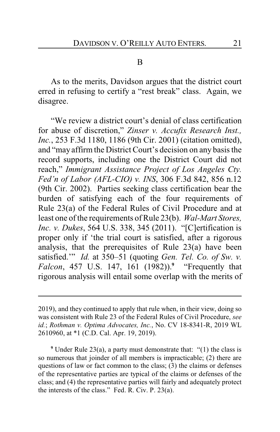B

As to the merits, Davidson argues that the district court erred in refusing to certify a "rest break" class. Again, we disagree.

"We review a district court's denial of class certification for abuse of discretion," *Zinser v. Accufix Research Inst., Inc.*, 253 F.3d 1180, 1186 (9th Cir. 2001) (citation omitted), and "may affirm the District Court's decision on any basis the record supports, including one the District Court did not reach," *Immigrant Assistance Project of Los Angeles Cty. Fed'n of Labor (AFL-CIO) v. INS*, 306 F.3d 842, 856 n.12 (9th Cir. 2002). Parties seeking class certification bear the burden of satisfying each of the four requirements of Rule 23(a) of the Federal Rules of Civil Procedure and at least one of the requirements of Rule 23(b). *Wal-Mart Stores, Inc. v. Dukes*, 564 U.S. 338, 345 (2011). "[C]ertification is proper only if 'the trial court is satisfied, after a rigorous analysis, that the prerequisites of Rule 23(a) have been satisfied.'" *Id.* at 350–51 (quoting *Gen. Tel. Co. of Sw. v. Falcon*, 457 U.S. 147, 161 (1982)).**<sup>9</sup>** "Frequently that rigorous analysis will entail some overlap with the merits of

2019), and they continued to apply that rule when, in their view, doing so was consistent with Rule 23 of the Federal Rules of Civil Procedure, *see id.*; *Rothman v. Optima Advocates, Inc.*, No. CV 18-8341-R, 2019 WL 2610960, at \*1 (C.D. Cal. Apr. 19, 2019).

**<sup>9</sup>** Under Rule 23(a), a party must demonstrate that: "(1) the class is so numerous that joinder of all members is impracticable; (2) there are questions of law or fact common to the class; (3) the claims or defenses of the representative parties are typical of the claims or defenses of the class; and (4) the representative parties will fairly and adequately protect the interests of the class." Fed. R. Civ. P. 23(a).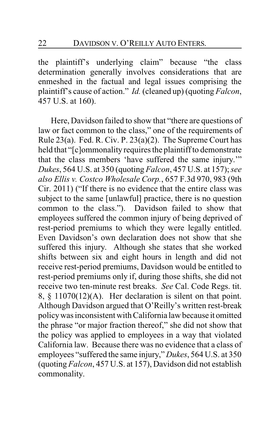the plaintiff's underlying claim" because "the class determination generally involves considerations that are enmeshed in the factual and legal issues comprising the plaintiff's cause of action." *Id.* (cleaned up) (quoting *Falcon*, 457 U.S. at 160).

Here, Davidson failed to show that "there are questions of law or fact common to the class," one of the requirements of Rule 23(a). Fed. R. Civ. P. 23(a)(2). The Supreme Court has held that "[c]ommonality requires the plaintiff to demonstrate that the class members 'have suffered the same injury.'" *Dukes*, 564 U.S. at 350 (quoting *Falcon*, 457 U.S. at 157); *see also Ellis v. Costco Wholesale Corp.*, 657 F.3d 970, 983 (9th Cir. 2011) ("If there is no evidence that the entire class was subject to the same [unlawful] practice, there is no question common to the class."). Davidson failed to show that employees suffered the common injury of being deprived of rest-period premiums to which they were legally entitled. Even Davidson's own declaration does not show that she suffered this injury. Although she states that she worked shifts between six and eight hours in length and did not receive rest-period premiums, Davidson would be entitled to rest-period premiums only if, during those shifts, she did not receive two ten-minute rest breaks. *See* Cal. Code Regs. tit. 8,  $\S$  11070(12)(A). Her declaration is silent on that point. Although Davidson argued that O'Reilly's written rest-break policywas inconsistent with California law because it omitted the phrase "or major fraction thereof," she did not show that the policy was applied to employees in a way that violated California law. Because there was no evidence that a class of employees "suffered the same injury," *Dukes*, 564 U.S. at 350 (quoting *Falcon*, 457 U.S. at 157), Davidson did not establish commonality.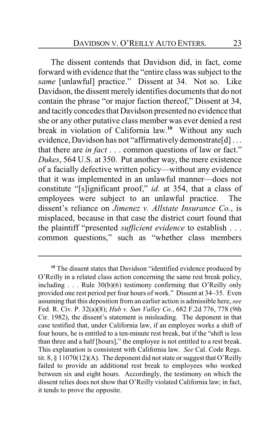The dissent contends that Davidson did, in fact, come forward with evidence that the "entire class was subject to the *same* [unlawful] practice." Dissent at 34. Not so. Like Davidson, the dissent merely identifies documents that do not contain the phrase "or major faction thereof," Dissent at 34, and tacitly concedes that Davidson presented no evidence that she or any other putative class member was ever denied a rest break in violation of California law.**<sup>10</sup>** Without any such evidence, Davidson has not "affirmatively demonstrate[d] ... that there are *in fact* . . . common questions of law or fact." *Dukes*, 564 U.S. at 350. Put another way, the mere existence of a facially defective written policy—without any evidence that it was implemented in an unlawful manner—does not constitute "[s]ignificant proof," *id.* at 354, that a class of employees were subject to an unlawful practice. The dissent's reliance on *Jimenez v. Allstate Insurance Co.*, is misplaced, because in that case the district court found that the plaintiff "presented *sufficient evidence* to establish . . . common questions," such as "whether class members

<sup>&</sup>lt;sup>10</sup> The dissent states that Davidson "identified evidence produced by O'Reilly in a related class action concerning the same rest break policy, including  $\ldots$  Rule 30(b)(6) testimony confirming that O'Reilly only provided one rest period per four hours of work." Dissent at 34–35. Even assuming that this deposition from an earlier action is admissible here, *see* Fed. R. Civ. P. 32(a)(8); *Hub v. Sun Valley Co.*, 682 F.2d 776, 778 (9th Cir. 1982), the dissent's statement is misleading. The deponent in that case testified that, under California law, if an employee works a shift of four hours, he is entitled to a ten-minute rest break, but if the "shift is less than three and a half [hours]," the employee is not entitled to a rest break. This explanation is consistent with California law. *See* Cal. Code Regs. tit. 8, § 11070(12)(A). The deponent did not state or suggest that O'Reilly failed to provide an additional rest break to employees who worked between six and eight hours. Accordingly, the testimony on which the dissent relies does not show that O'Reilly violated California law; in fact, it tends to prove the opposite.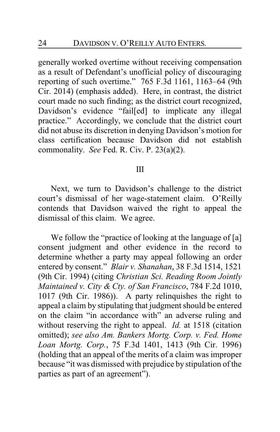generally worked overtime without receiving compensation as a result of Defendant's unofficial policy of discouraging reporting of such overtime." 765 F.3d 1161, 1163–64 (9th Cir. 2014) (emphasis added). Here, in contrast, the district court made no such finding; as the district court recognized, Davidson's evidence "fail[ed] to implicate any illegal practice." Accordingly, we conclude that the district court did not abuse its discretion in denying Davidson's motion for class certification because Davidson did not establish commonality. *See* Fed. R. Civ. P. 23(a)(2).

#### III

Next, we turn to Davidson's challenge to the district court's dismissal of her wage-statement claim. O'Reilly contends that Davidson waived the right to appeal the dismissal of this claim. We agree.

We follow the "practice of looking at the language of [a] consent judgment and other evidence in the record to determine whether a party may appeal following an order entered by consent." *Blair v. Shanahan*, 38 F.3d 1514, 1521 (9th Cir. 1994) (citing *Christian Sci. Reading Room Jointly Maintained v. City & Cty. of San Francisco*, 784 F.2d 1010, 1017 (9th Cir. 1986)). A party relinquishes the right to appeal a claim by stipulating that judgment should be entered on the claim "in accordance with" an adverse ruling and without reserving the right to appeal. *Id.* at 1518 (citation omitted); *see also Am. Bankers Mortg. Corp. v. Fed. Home Loan Mortg. Corp.*, 75 F.3d 1401, 1413 (9th Cir. 1996) (holding that an appeal of the merits of a claim was improper because "it was dismissed with prejudice by stipulation of the parties as part of an agreement").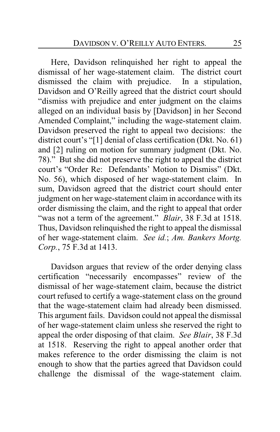Here, Davidson relinquished her right to appeal the dismissal of her wage-statement claim. The district court dismissed the claim with prejudice. In a stipulation, Davidson and O'Reilly agreed that the district court should "dismiss with prejudice and enter judgment on the claims alleged on an individual basis by [Davidson] in her Second Amended Complaint," including the wage-statement claim. Davidson preserved the right to appeal two decisions: the district court's "[1] denial of class certification (Dkt. No. 61) and [2] ruling on motion for summary judgment (Dkt. No. 78)." But she did not preserve the right to appeal the district court's "Order Re: Defendants' Motion to Dismiss" (Dkt. No. 56), which disposed of her wage-statement claim. In sum, Davidson agreed that the district court should enter judgment on her wage-statement claim in accordance with its order dismissing the claim, and the right to appeal that order "was not a term of the agreement." *Blair*, 38 F.3d at 1518. Thus, Davidson relinquished the right to appeal the dismissal of her wage-statement claim. *See id.*; *Am. Bankers Mortg. Corp.*, 75 F.3d at 1413.

Davidson argues that review of the order denying class certification "necessarily encompasses" review of the dismissal of her wage-statement claim, because the district court refused to certify a wage-statement class on the ground that the wage-statement claim had already been dismissed. This argument fails. Davidson could not appeal the dismissal of her wage-statement claim unless she reserved the right to appeal the order disposing of that claim. *See Blair*, 38 F.3d at 1518. Reserving the right to appeal another order that makes reference to the order dismissing the claim is not enough to show that the parties agreed that Davidson could challenge the dismissal of the wage-statement claim.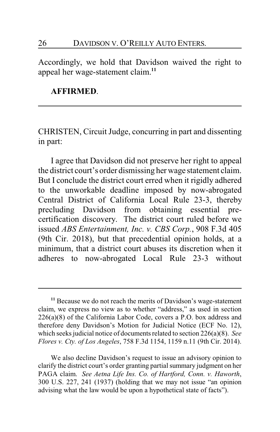# 26 DAVIDSON V. O'REILLY AUTO ENTERS.

Accordingly, we hold that Davidson waived the right to appeal her wage-statement claim.**<sup>11</sup>**

#### **AFFIRMED**.

CHRISTEN, Circuit Judge, concurring in part and dissenting in part:

I agree that Davidson did not preserve her right to appeal the district court's order dismissing her wage statement claim. But I conclude the district court erred when it rigidly adhered to the unworkable deadline imposed by now-abrogated Central District of California Local Rule 23-3, thereby precluding Davidson from obtaining essential precertification discovery. The district court ruled before we issued *ABS Entertainment, Inc. v. CBS Corp.*, 908 F.3d 405 (9th Cir. 2018), but that precedential opinion holds, at a minimum, that a district court abuses its discretion when it adheres to now-abrogated Local Rule 23-3 without

**<sup>11</sup>** Because we do not reach the merits of Davidson's wage-statement claim, we express no view as to whether "address," as used in section 226(a)(8) of the California Labor Code, covers a P.O. box address and therefore deny Davidson's Motion for Judicial Notice (ECF No. 12), which seeks judicial notice of documents related to section 226(a)(8). *See Flores v. Cty. of Los Angeles*, 758 F.3d 1154, 1159 n.11 (9th Cir. 2014).

We also decline Davidson's request to issue an advisory opinion to clarify the district court's order granting partial summary judgment on her PAGA claim. *See Aetna Life Ins. Co. of Hartford, Conn. v. Haworth*, 300 U.S. 227, 241 (1937) (holding that we may not issue "an opinion advising what the law would be upon a hypothetical state of facts").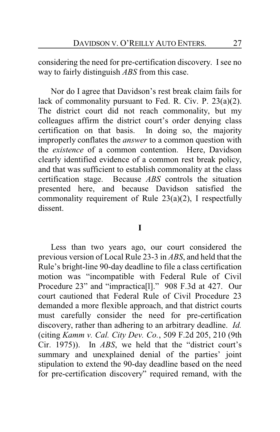considering the need for pre-certification discovery. Isee no way to fairly distinguish *ABS* from this case.

Nor do I agree that Davidson's rest break claim fails for lack of commonality pursuant to Fed. R. Civ. P. 23(a)(2). The district court did not reach commonality, but my colleagues affirm the district court's order denying class certification on that basis. In doing so, the majority improperly conflates the *answer* to a common question with the *existence* of a common contention. Here, Davidson clearly identified evidence of a common rest break policy, and that was sufficient to establish commonality at the class certification stage. Because *ABS* controls the situation presented here, and because Davidson satisfied the commonality requirement of Rule 23(a)(2), I respectfully dissent.

### **I**

Less than two years ago, our court considered the previous version of Local Rule 23-3 in *ABS*, and held that the Rule's bright-line 90-day deadline to file a class certification motion was "incompatible with Federal Rule of Civil Procedure 23" and "impractica[l]." 908 F.3d at 427. Our court cautioned that Federal Rule of Civil Procedure 23 demanded a more flexible approach, and that district courts must carefully consider the need for pre-certification discovery, rather than adhering to an arbitrary deadline. *Id.* (citing *Kamm v. Cal. City Dev. Co.*, 509 F.2d 205, 210 (9th Cir. 1975)). In *ABS*, we held that the "district court's summary and unexplained denial of the parties' joint stipulation to extend the 90-day deadline based on the need for pre-certification discovery" required remand, with the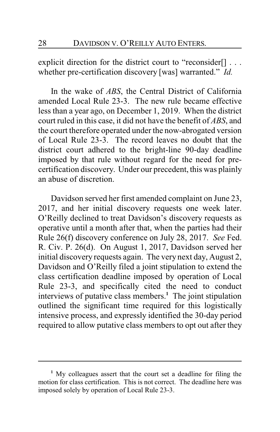explicit direction for the district court to "reconsider[] . . . whether pre-certification discovery [was] warranted." *Id.*

In the wake of *ABS*, the Central District of California amended Local Rule 23-3. The new rule became effective less than a year ago, on December 1, 2019. When the district court ruled in this case, it did not have the benefit of *ABS*, and the court therefore operated under the now-abrogated version of Local Rule 23-3. The record leaves no doubt that the district court adhered to the bright-line 90-day deadline imposed by that rule without regard for the need for precertification discovery. Under our precedent, this was plainly an abuse of discretion.

Davidson served her first amended complaint on June 23, 2017, and her initial discovery requests one week later. O'Reilly declined to treat Davidson's discovery requests as operative until a month after that, when the parties had their Rule 26(f) discovery conference on July 28, 2017. *See* Fed. R. Civ. P. 26(d). On August 1, 2017, Davidson served her initial discovery requests again. The very next day, August 2, Davidson and O'Reilly filed a joint stipulation to extend the class certification deadline imposed by operation of Local Rule 23-3, and specifically cited the need to conduct interviews of putative class members.**<sup>1</sup>** The joint stipulation outlined the significant time required for this logistically intensive process, and expressly identified the 30-day period required to allow putative class members to opt out after they

**<sup>1</sup>** My colleagues assert that the court set a deadline for filing the motion for class certification. This is not correct. The deadline here was imposed solely by operation of Local Rule 23-3.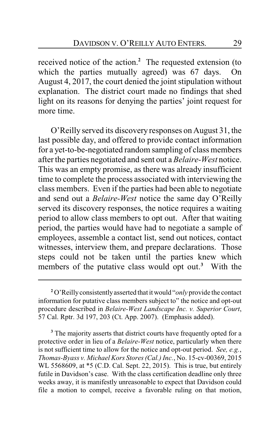received notice of the action.**<sup>2</sup>** The requested extension (to which the parties mutually agreed) was 67 days. On August 4, 2017, the court denied the joint stipulation without explanation. The district court made no findings that shed light on its reasons for denying the parties' joint request for more time.

O'Reilly served its discovery responses on August 31, the last possible day, and offered to provide contact information for a yet-to-be-negotiated random sampling of class members after the parties negotiated and sent out a *Belaire-West* notice. This was an empty promise, as there was already insufficient time to complete the process associated with interviewing the class members. Even if the parties had been able to negotiate and send out a *Belaire-West* notice the same day O'Reilly served its discovery responses, the notice requires a waiting period to allow class members to opt out. After that waiting period, the parties would have had to negotiate a sample of employees, assemble a contact list, send out notices, contact witnesses, interview them, and prepare declarations. Those steps could not be taken until the parties knew which members of the putative class would opt out. **<sup>3</sup>** With the

**<sup>3</sup>** The majority asserts that district courts have frequently opted for a protective order in lieu of a *Belaire-West* notice, particularly when there is not sufficient time to allow for the notice and opt-out period. *See, e.g.*, *Thomas-Byass v. Michael Kors Stores (Cal.) Inc.*, No. 15-cv-00369, 2015 WL 5568609, at \*5 (C.D. Cal. Sept. 22, 2015). This is true, but entirely futile in Davidson's case. With the class certification deadline only three weeks away, it is manifestly unreasonable to expect that Davidson could file a motion to compel, receive a favorable ruling on that motion,

<sup>&</sup>lt;sup>2</sup> O'Reilly consistently asserted that it would "*only* provide the contact" information for putative class members subject to" the notice and opt-out procedure described in *Belaire-West Landscape Inc. v. Superior Court*, 57 Cal. Rptr. 3d 197, 203 (Ct. App. 2007). (Emphasis added).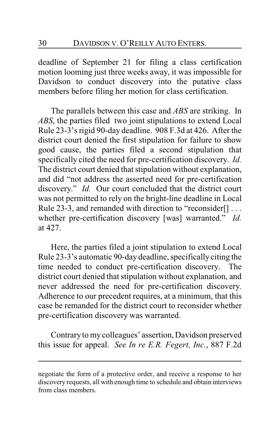deadline of September 21 for filing a class certification motion looming just three weeks away, it was impossible for Davidson to conduct discovery into the putative class members before filing her motion for class certification.

The parallels between this case and *ABS* are striking. In *ABS*, the parties filed two joint stipulations to extend Local Rule 23-3's rigid 90-day deadline. 908 F.3d at 426. After the district court denied the first stipulation for failure to show good cause, the parties filed a second stipulation that specifically cited the need for pre-certification discovery. *Id.* The district court denied that stipulation without explanation, and did "not address the asserted need for pre-certification discovery." *Id.* Our court concluded that the district court was not permitted to rely on the bright-line deadline in Local Rule 23-3, and remanded with direction to "reconsider[] . . . whether pre-certification discovery [was] warranted." *Id.* at 427.

Here, the parties filed a joint stipulation to extend Local Rule 23-3's automatic 90-day deadline, specifically citing the time needed to conduct pre-certification discovery. The district court denied that stipulation without explanation, and never addressed the need for pre-certification discovery. Adherence to our precedent requires, at a minimum, that this case be remanded for the district court to reconsider whether pre-certification discovery was warranted.

Contrary to mycolleagues' assertion, Davidson preserved this issue for appeal. *See In re E.R. Fegert, Inc.*, 887 F.2d

negotiate the form of a protective order, and receive a response to her discovery requests, all with enough time to schedule and obtain interviews from class members.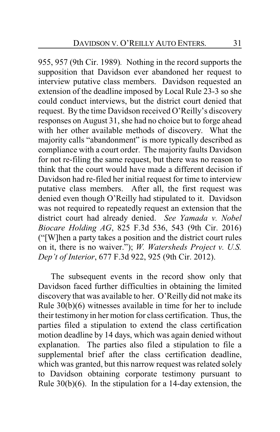955, 957 (9th Cir. 1989)*.* Nothing in the record supports the supposition that Davidson ever abandoned her request to interview putative class members. Davidson requested an extension of the deadline imposed by Local Rule 23-3 so she could conduct interviews, but the district court denied that request. By the time Davidson received O'Reilly's discovery responses on August 31, she had no choice but to forge ahead with her other available methods of discovery. What the majority calls "abandonment" is more typically described as compliance with a court order. The majority faults Davidson for not re-filing the same request, but there was no reason to think that the court would have made a different decision if Davidson had re-filed her initial request for time to interview putative class members. After all, the first request was denied even though O'Reilly had stipulated to it. Davidson was not required to repeatedly request an extension that the district court had already denied. *See Yamada v. Nobel Biocare Holding AG*, 825 F.3d 536, 543 (9th Cir. 2016) ("[W]hen a party takes a position and the district court rules on it, there is no waiver."); *W. Watersheds Project v. U.S. Dep't of Interior*, 677 F.3d 922, 925 (9th Cir. 2012).

The subsequent events in the record show only that Davidson faced further difficulties in obtaining the limited discovery that was available to her. O'Reilly did not make its Rule 30(b)(6) witnesses available in time for her to include their testimony in her motion for class certification. Thus, the parties filed a stipulation to extend the class certification motion deadline by 14 days, which was again denied without explanation. The parties also filed a stipulation to file a supplemental brief after the class certification deadline, which was granted, but this narrow request was related solely to Davidson obtaining corporate testimony pursuant to Rule 30(b)(6). In the stipulation for a 14-day extension, the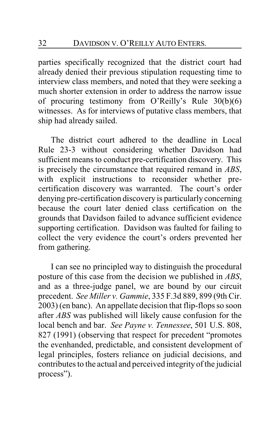parties specifically recognized that the district court had already denied their previous stipulation requesting time to interview class members, and noted that they were seeking a much shorter extension in order to address the narrow issue of procuring testimony from O'Reilly's Rule 30(b)(6) witnesses. As for interviews of putative class members, that ship had already sailed.

The district court adhered to the deadline in Local Rule 23-3 without considering whether Davidson had sufficient means to conduct pre-certification discovery. This is precisely the circumstance that required remand in *ABS*, with explicit instructions to reconsider whether precertification discovery was warranted. The court's order denying pre-certification discovery is particularly concerning because the court later denied class certification on the grounds that Davidson failed to advance sufficient evidence supporting certification. Davidson was faulted for failing to collect the very evidence the court's orders prevented her from gathering.

I can see no principled way to distinguish the procedural posture of this case from the decision we published in *ABS*, and as a three-judge panel, we are bound by our circuit precedent. *See Miller v. Gammie*, 335 F.3d 889, 899 (9th Cir. 2003) (en banc). An appellate decision that flip-flops so soon after *ABS* was published will likely cause confusion for the local bench and bar. *See Payne v. Tennessee*, 501 U.S. 808, 827 (1991) (observing that respect for precedent "promotes the evenhanded, predictable, and consistent development of legal principles, fosters reliance on judicial decisions, and contributes to the actual and perceived integrity of the judicial process").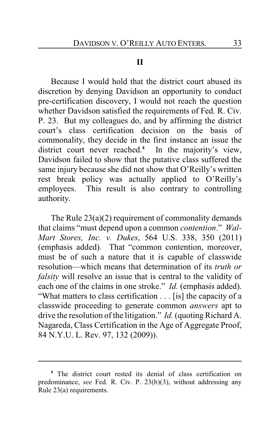## **II**

Because I would hold that the district court abused its discretion by denying Davidson an opportunity to conduct pre-certification discovery, I would not reach the question whether Davidson satisfied the requirements of Fed. R. Civ. P. 23. But my colleagues do, and by affirming the district court's class certification decision on the basis of commonality, they decide in the first instance an issue the district court never reached.**<sup>4</sup>** In the majority's view, Davidson failed to show that the putative class suffered the same injury because she did not show that O'Reilly's written rest break policy was actually applied to O'Reilly's employees. This result is also contrary to controlling authority.

The Rule  $23(a)(2)$  requirement of commonality demands that claims "must depend upon a common *contention*." *Wal-Mart Stores, Inc. v. Dukes*, 564 U.S. 338, 350 (2011) (emphasis added). That "common contention, moreover, must be of such a nature that it is capable of classwide resolution—which means that determination of its *truth or falsity* will resolve an issue that is central to the validity of each one of the claims in one stroke." *Id.* (emphasis added). "What matters to class certification . . . [is] the capacity of a classwide proceeding to generate common *answers* apt to drive the resolution of the litigation." *Id.* (quoting Richard A. Nagareda, Class Certification in the Age of Aggregate Proof, 84 N.Y.U. L. Rev. 97, 132 (2009)).

**<sup>4</sup>** The district court rested its denial of class certification on predominance, *see* Fed. R. Civ. P. 23(b)(3), without addressing any Rule 23(a) requirements.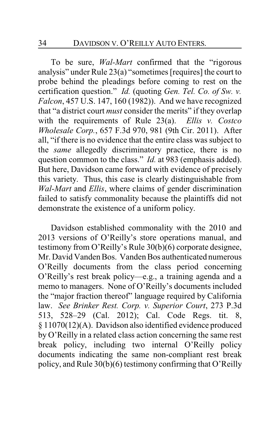To be sure, *Wal-Mart* confirmed that the "rigorous analysis" under Rule 23(a) "sometimes [requires] the court to probe behind the pleadings before coming to rest on the certification question." *Id.* (quoting *Gen. Tel. Co. of Sw. v. Falcon*, 457 U.S. 147, 160 (1982)). And we have recognized that "a district court *must* consider the merits" if they overlap with the requirements of Rule 23(a). *Ellis v. Costco Wholesale Corp.*, 657 F.3d 970, 981 (9th Cir. 2011). After all, "if there is no evidence that the entire class was subject to the *same* allegedly discriminatory practice, there is no question common to the class." *Id.* at 983 (emphasis added). But here, Davidson came forward with evidence of precisely this variety. Thus, this case is clearly distinguishable from *Wal-Mart* and *Ellis*, where claims of gender discrimination failed to satisfy commonality because the plaintiffs did not demonstrate the existence of a uniform policy.

Davidson established commonality with the 2010 and 2013 versions of O'Reilly's store operations manual, and testimony from O'Reilly's Rule 30(b)(6) corporate designee, Mr. David Vanden Bos. Vanden Bos authenticated numerous O'Reilly documents from the class period concerning O'Reilly's rest break policy—e.g., a training agenda and a memo to managers. None of O'Reilly's documents included the "major fraction thereof" language required by California law. *See Brinker Rest. Corp. v. Superior Court*, 273 P.3d 513, 528–29 (Cal. 2012); Cal. Code Regs. tit. 8, § 11070(12)(A). Davidson also identified evidence produced by O'Reilly in a related class action concerning the same rest break policy, including two internal O'Reilly policy documents indicating the same non-compliant rest break policy, and Rule 30(b)(6) testimony confirming that O'Reilly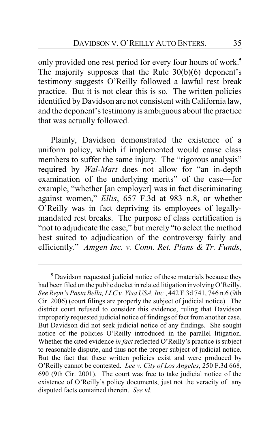only provided one rest period for every four hours of work.**<sup>5</sup>** The majority supposes that the Rule 30(b)(6) deponent's testimony suggests O'Reilly followed a lawful rest break practice. But it is not clear this is so. The written policies identified byDavidson are not consistent with California law, and the deponent's testimony is ambiguous about the practice that was actually followed.

Plainly, Davidson demonstrated the existence of a uniform policy, which if implemented would cause class members to suffer the same injury. The "rigorous analysis" required by *Wal-Mart* does not allow for "an in-depth examination of the underlying merits" of the case—for example, "whether [an employer] was in fact discriminating against women," *Ellis*, 657 F.3d at 983 n.8, or whether O'Reilly was in fact depriving its employees of legallymandated rest breaks. The purpose of class certification is "not to adjudicate the case," but merely "to select the method best suited to adjudication of the controversy fairly and efficiently." *Amgen Inc. v. Conn. Ret. Plans & Tr. Funds*,

**<sup>5</sup>** Davidson requested judicial notice of these materials because they had been filed on the public docket in related litigation involving O'Reilly. *See Reyn's Pasta Bella, LLC v. Visa USA, Inc.*, 442 F.3d 741, 746 n.6 (9th Cir. 2006) (court filings are properly the subject of judicial notice). The district court refused to consider this evidence, ruling that Davidson improperly requested judicial notice of findings of fact from another case. But Davidson did not seek judicial notice of any findings. She sought notice of the policies O'Reilly introduced in the parallel litigation. Whether the cited evidence *in fact* reflected O'Reilly's practice is subject to reasonable dispute, and thus not the proper subject of judicial notice. But the fact that these written policies exist and were produced by O'Reilly cannot be contested. *Lee v. City of Los Angeles*, 250 F.3d 668, 690 (9th Cir. 2001). The court was free to take judicial notice of the existence of O'Reilly's policy documents, just not the veracity of any disputed facts contained therein. *See id.*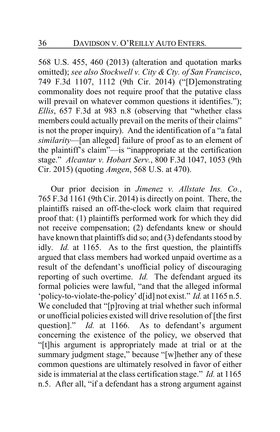568 U.S. 455, 460 (2013) (alteration and quotation marks omitted); *see also Stockwell v. City & Cty. of San Francisco*, 749 F.3d 1107, 1112 (9th Cir. 2014) ("[D]emonstrating commonality does not require proof that the putative class will prevail on whatever common questions it identifies."); *Ellis*, 657 F.3d at 983 n.8 (observing that "whether class members could actually prevail on the merits of their claims" is not the proper inquiry). And the identification of a "a fatal *similarity*—[an alleged] failure of proof as to an element of the plaintiff's claim"—is "inappropriate at the certification stage." *Alcantar v. Hobart Serv.*, 800 F.3d 1047, 1053 (9th Cir. 2015) (quoting *Amgen*, 568 U.S. at 470).

Our prior decision in *Jimenez v. Allstate Ins. Co.*, 765 F.3d 1161 (9th Cir. 2014) is directly on point. There, the plaintiffs raised an off-the-clock work claim that required proof that: (1) plaintiffs performed work for which they did not receive compensation; (2) defendants knew or should have known that plaintiffs did so; and (3) defendants stood by idly. *Id.* at 1165. As to the first question, the plaintiffs argued that class members had worked unpaid overtime as a result of the defendant's unofficial policy of discouraging reporting of such overtime. *Id.* The defendant argued its formal policies were lawful, "and that the alleged informal 'policy-to-violate-the-policy' d[id] not exist." *Id.* at 1165 n.5. We concluded that "[p]roving at trial whether such informal or unofficial policies existed will drive resolution of [the first question]." *Id.* at 1166. As to defendant's argument concerning the existence of the policy, we observed that "[t]his argument is appropriately made at trial or at the summary judgment stage," because "[w]hether any of these common questions are ultimately resolved in favor of either side is immaterial at the class certification stage." *Id.* at 1165 n.5. After all, "if a defendant has a strong argument against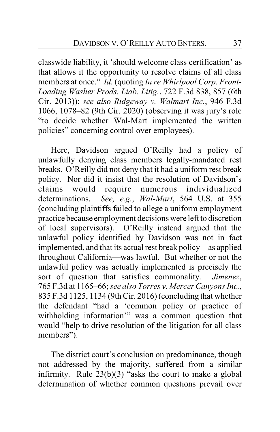classwide liability, it 'should welcome class certification' as that allows it the opportunity to resolve claims of all class members at once." *Id.* (quoting *In re Whirlpool Corp. Front-Loading Washer Prods. Liab. Litig.*, 722 F.3d 838, 857 (6th Cir. 2013)); *see also Ridgeway v. Walmart Inc.*, 946 F.3d 1066, 1078–82 (9th Cir. 2020) (observing it was jury's role "to decide whether Wal-Mart implemented the written policies" concerning control over employees).

Here, Davidson argued O'Reilly had a policy of unlawfully denying class members legally-mandated rest breaks. O'Reilly did not deny that it had a uniform rest break policy. Nor did it insist that the resolution of Davidson's claims would require numerous individualized determinations. *See, e.g.*, *Wal-Mart*, 564 U.S. at 355 (concluding plaintiffs failed to allege a uniform employment practice because employment decisions were left to discretion of local supervisors). O'Reilly instead argued that the unlawful policy identified by Davidson was not in fact implemented, and that its actual rest break policy—as applied throughout California—was lawful. But whether or not the unlawful policy was actually implemented is precisely the sort of question that satisfies commonality. *Jimenez*, 765 F.3d at 1165–66; *see also Torres v. Mercer Canyons Inc.*, 835 F.3d 1125, 1134 (9th Cir. 2016) (concluding that whether the defendant "had a 'common policy or practice of withholding information'" was a common question that would "help to drive resolution of the litigation for all class members").

The district court's conclusion on predominance, though not addressed by the majority, suffered from a similar infirmity. Rule 23(b)(3) "asks the court to make a global determination of whether common questions prevail over